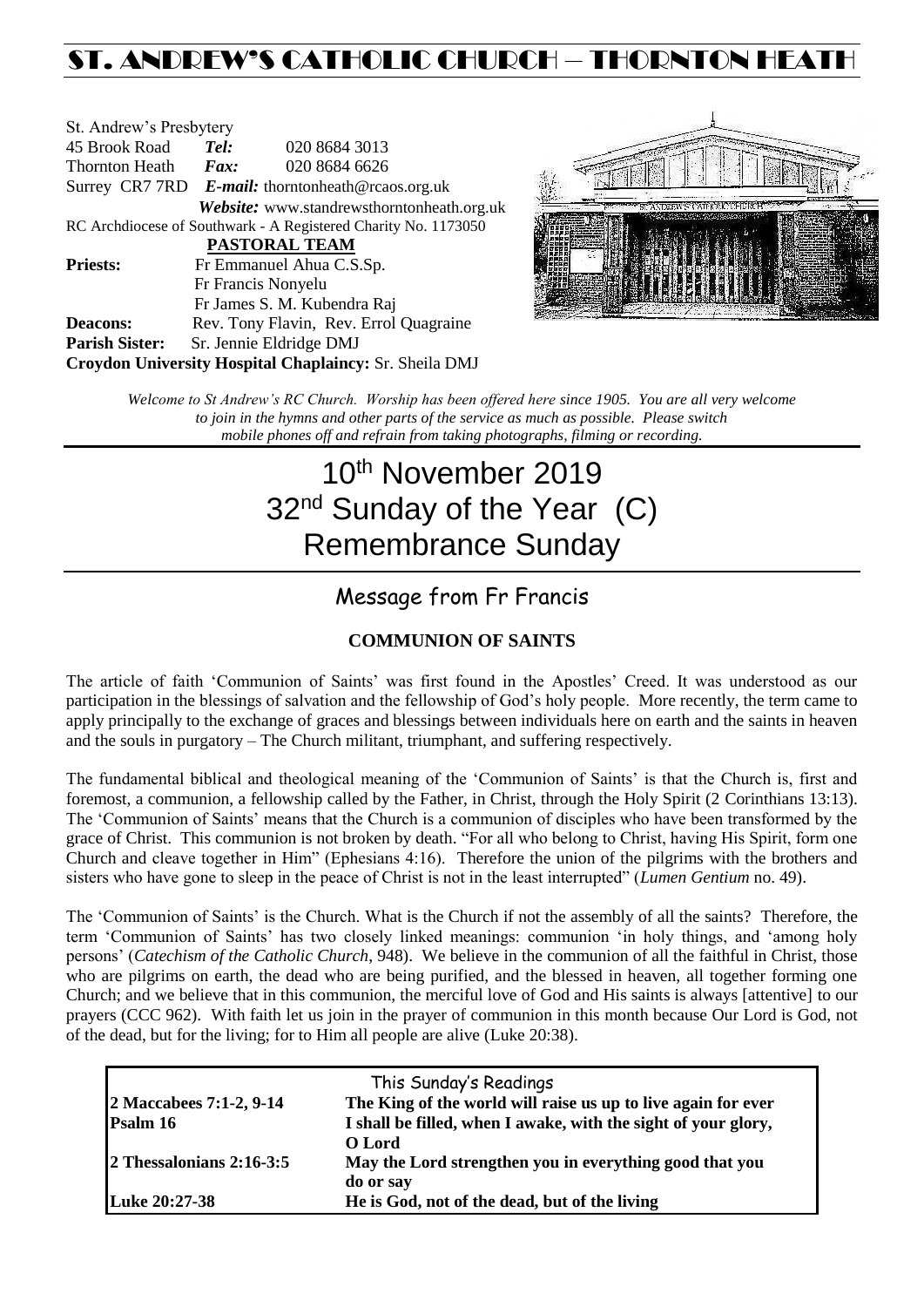# ST. ANDREW'S CATHOLIC CHURCH – THORNTON HEATH

| St. Andrew's Presbytery |                                                   |                                                                |  |  |  |  |
|-------------------------|---------------------------------------------------|----------------------------------------------------------------|--|--|--|--|
| 45 Brook Road           | Tel:                                              | 020 8684 3013                                                  |  |  |  |  |
| <b>Thornton Heath</b>   | $\boldsymbol{Fax:}$                               | 020 8684 6626                                                  |  |  |  |  |
|                         | Surrey CR7 7RD E-mail: thorntonheath@rcaos.org.uk |                                                                |  |  |  |  |
|                         |                                                   | <b>Website:</b> www.standrewsthorntonheath.org.uk              |  |  |  |  |
|                         |                                                   | RC Archdiocese of Southwark - A Registered Charity No. 1173050 |  |  |  |  |
|                         |                                                   | PASTORAL TEAM                                                  |  |  |  |  |
| <b>Priests:</b>         |                                                   | Fr Emmanuel Ahua C.S.Sp.                                       |  |  |  |  |
|                         |                                                   | Fr Francis Nonyelu                                             |  |  |  |  |
|                         |                                                   | Fr James S. M. Kubendra Raj                                    |  |  |  |  |
| <b>Deacons:</b>         |                                                   | Rev. Tony Flavin, Rev. Errol Quagraine                         |  |  |  |  |
| <b>Parish Sister:</b>   |                                                   | Sr. Jennie Eldridge DMJ                                        |  |  |  |  |
|                         |                                                   | Croydon University Hospital Chaplaincy: Sr. Sheila DMJ         |  |  |  |  |



*Welcome to St Andrew's RC Church. Worship has been offered here since 1905. You are all very welcome to join in the hymns and other parts of the service as much as possible. Please switch mobile phones off and refrain from taking photographs, filming or recording.*

# 10th November 2019 32<sup>nd</sup> Sunday of the Year (C) Remembrance Sunday

## Message from Fr Francis

### **COMMUNION OF SAINTS**

The article of faith 'Communion of Saints' was first found in the Apostles' Creed. It was understood as our participation in the blessings of salvation and the fellowship of God's holy people. More recently, the term came to apply principally to the exchange of graces and blessings between individuals here on earth and the saints in heaven and the souls in purgatory – The Church militant, triumphant, and suffering respectively.

The fundamental biblical and theological meaning of the 'Communion of Saints' is that the Church is, first and foremost, a communion, a fellowship called by the Father, in Christ, through the Holy Spirit (2 Corinthians 13:13). The 'Communion of Saints' means that the Church is a communion of disciples who have been transformed by the grace of Christ. This communion is not broken by death. "For all who belong to Christ, having His Spirit, form one Church and cleave together in Him" (Ephesians 4:16). Therefore the union of the pilgrims with the brothers and sisters who have gone to sleep in the peace of Christ is not in the least interrupted" (*Lumen Gentium* no. 49).

The 'Communion of Saints' is the Church. What is the Church if not the assembly of all the saints? Therefore, the term 'Communion of Saints' has two closely linked meanings: communion 'in holy things, and 'among holy persons' (*Catechism of the Catholic Church*, 948). We believe in the communion of all the faithful in Christ, those who are pilgrims on earth, the dead who are being purified, and the blessed in heaven, all together forming one Church; and we believe that in this communion, the merciful love of God and His saints is always [attentive] to our prayers (CCC 962). With faith let us join in the prayer of communion in this month because Our Lord is God, not of the dead, but for the living; for to Him all people are alive (Luke 20:38).

| This Sunday's Readings     |                                                                |  |  |  |  |
|----------------------------|----------------------------------------------------------------|--|--|--|--|
| 2 Maccabees 7:1-2, 9-14    | The King of the world will raise us up to live again for ever  |  |  |  |  |
| <b>Psalm 16</b>            | I shall be filled, when I awake, with the sight of your glory, |  |  |  |  |
|                            | O Lord                                                         |  |  |  |  |
| $2$ Thessalonians 2:16-3:5 | May the Lord strengthen you in everything good that you        |  |  |  |  |
|                            | do or say                                                      |  |  |  |  |
| Luke 20:27-38              | He is God, not of the dead, but of the living                  |  |  |  |  |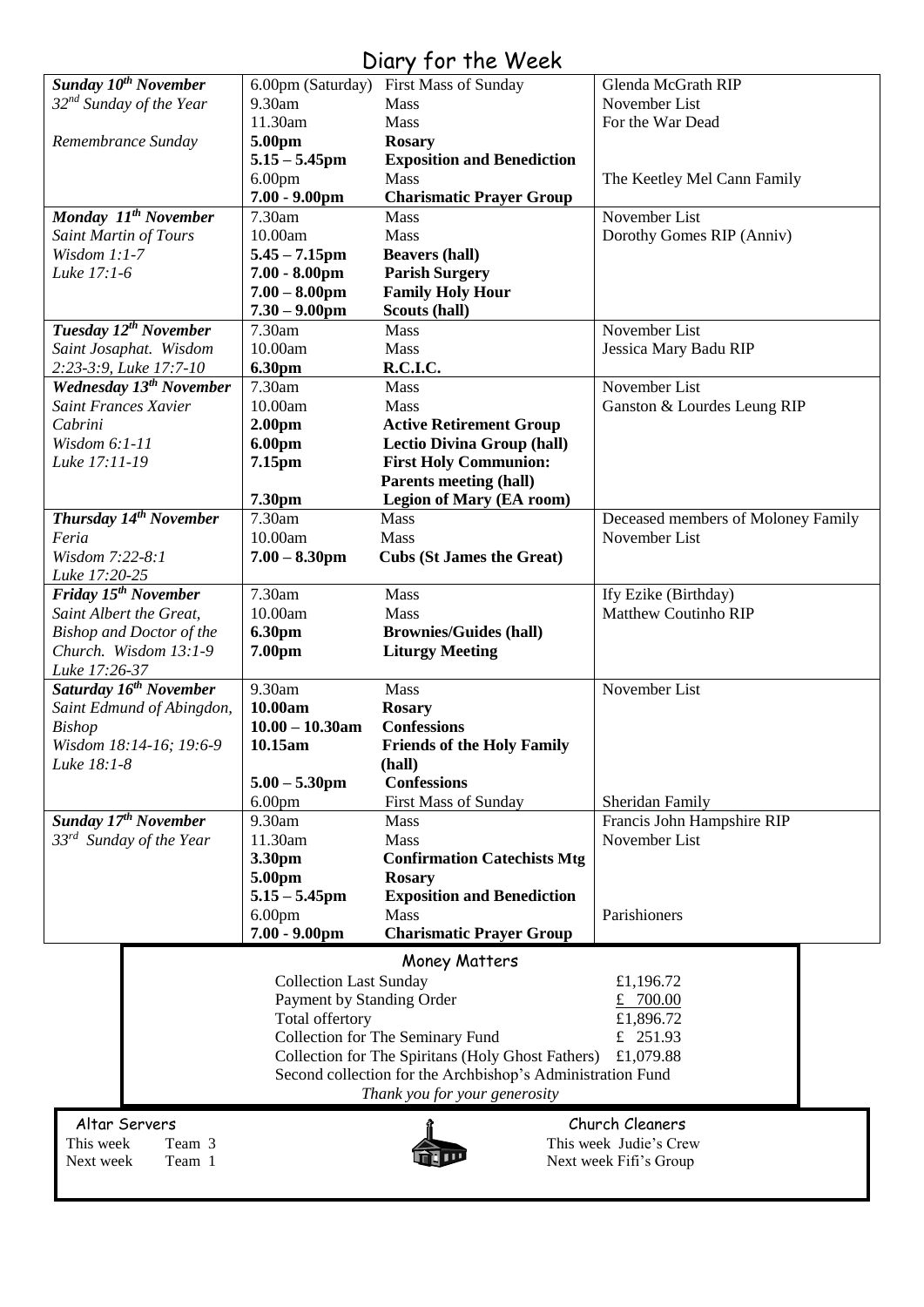# Diary for the Week

| Sunday 10 <sup>th</sup> November                               |                                  | 6.00pm (Saturday) First Mass of Sunday | Glenda McGrath RIP                 |  |  |  |  |
|----------------------------------------------------------------|----------------------------------|----------------------------------------|------------------------------------|--|--|--|--|
| $32nd$ Sunday of the Year                                      | 9.30am                           | <b>Mass</b>                            | November List                      |  |  |  |  |
|                                                                | 11.30am                          | Mass                                   | For the War Dead                   |  |  |  |  |
| Remembrance Sunday                                             | 5.00pm                           | <b>Rosary</b>                          |                                    |  |  |  |  |
|                                                                | $5.15 - 5.45$ pm                 | <b>Exposition and Benediction</b>      |                                    |  |  |  |  |
|                                                                | 6.00 <sub>pm</sub>               | Mass                                   | The Keetley Mel Cann Family        |  |  |  |  |
|                                                                | $7.00 - 9.00$ pm                 | <b>Charismatic Prayer Group</b>        |                                    |  |  |  |  |
| Monday 11 <sup>th</sup> November                               | 7.30am                           | <b>Mass</b>                            | November List                      |  |  |  |  |
| Saint Martin of Tours                                          | 10.00am                          | <b>Mass</b>                            | Dorothy Gomes RIP (Anniv)          |  |  |  |  |
| Wisdom $1:1-7$                                                 | $5.45 - 7.15$ pm                 | <b>Beavers (hall)</b>                  |                                    |  |  |  |  |
| Luke 17:1-6                                                    | $7.00 - 8.00$ pm                 | <b>Parish Surgery</b>                  |                                    |  |  |  |  |
|                                                                | $7.00 - 8.00$ pm                 | <b>Family Holy Hour</b>                |                                    |  |  |  |  |
|                                                                | $7.30 - 9.00$ pm                 | Scouts (hall)                          |                                    |  |  |  |  |
| Tuesday 12 <sup>th</sup> November                              | 7.30am                           | Mass                                   | November List                      |  |  |  |  |
|                                                                | 10.00am                          | Mass                                   |                                    |  |  |  |  |
| Saint Josaphat. Wisdom                                         |                                  |                                        | Jessica Mary Badu RIP              |  |  |  |  |
| 2:23-3:9, Luke 17:7-10                                         | 6.30pm                           | R.C.I.C.                               |                                    |  |  |  |  |
| Wednesday 13 <sup>th</sup> November                            | 7.30am                           | <b>Mass</b>                            | November List                      |  |  |  |  |
| <b>Saint Frances Xavier</b>                                    | 10.00am                          | <b>Mass</b>                            | Ganston & Lourdes Leung RIP        |  |  |  |  |
| Cabrini                                                        | 2.00pm                           | <b>Active Retirement Group</b>         |                                    |  |  |  |  |
| Wisdom 6:1-11                                                  | 6.00 <sub>pm</sub>               | <b>Lectio Divina Group (hall)</b>      |                                    |  |  |  |  |
| Luke 17:11-19                                                  | 7.15pm                           | <b>First Holy Communion:</b>           |                                    |  |  |  |  |
|                                                                |                                  | <b>Parents meeting (hall)</b>          |                                    |  |  |  |  |
|                                                                | 7.30pm                           | <b>Legion of Mary (EA room)</b>        |                                    |  |  |  |  |
| Thursday 14th November                                         | 7.30am                           | <b>Mass</b>                            | Deceased members of Moloney Family |  |  |  |  |
| Feria                                                          | 10.00am                          | <b>Mass</b>                            | November List                      |  |  |  |  |
| Wisdom 7:22-8:1                                                | $7.00 - 8.30$ pm                 | <b>Cubs (St James the Great)</b>       |                                    |  |  |  |  |
| Luke 17:20-25                                                  |                                  |                                        |                                    |  |  |  |  |
| Friday 15 <sup>th</sup> November                               | 7.30am                           | Mass                                   | Ify Ezike (Birthday)               |  |  |  |  |
| Saint Albert the Great,                                        | 10.00am                          | <b>Mass</b>                            | <b>Matthew Coutinho RIP</b>        |  |  |  |  |
| <b>Bishop and Doctor of the</b>                                | 6.30pm                           | <b>Brownies/Guides (hall)</b>          |                                    |  |  |  |  |
| Church. Wisdom 13:1-9                                          | 7.00pm                           | <b>Liturgy Meeting</b>                 |                                    |  |  |  |  |
| Luke 17:26-37                                                  |                                  |                                        |                                    |  |  |  |  |
| Saturday 16 <sup>th</sup> November                             | 9.30am                           | Mass                                   | November List                      |  |  |  |  |
| Saint Edmund of Abingdon,                                      | 10.00am                          | <b>Rosary</b>                          |                                    |  |  |  |  |
| <b>Bishop</b>                                                  | $10.00 - 10.30$ am               | <b>Confessions</b>                     |                                    |  |  |  |  |
| Wisdom 18:14-16; 19:6-9                                        | 10.15am                          | <b>Friends of the Holy Family</b>      |                                    |  |  |  |  |
| Luke 18:1-8                                                    |                                  | (hall)                                 |                                    |  |  |  |  |
|                                                                | $5.00 - 5.30$ pm                 | <b>Confessions</b>                     |                                    |  |  |  |  |
|                                                                |                                  |                                        |                                    |  |  |  |  |
|                                                                | 6.00 <sub>pm</sub>               | First Mass of Sunday                   | Sheridan Family                    |  |  |  |  |
| Sunday 17 <sup>th</sup> November                               | 9.30am                           | <b>Mass</b>                            | Francis John Hampshire RIP         |  |  |  |  |
| 33 <sup>rd</sup> Sunday of the Year                            | 11.30am                          | Mass                                   | November List                      |  |  |  |  |
|                                                                | 3.30pm                           | <b>Confirmation Catechists Mtg</b>     |                                    |  |  |  |  |
|                                                                | 5.00pm                           | <b>Rosary</b>                          |                                    |  |  |  |  |
|                                                                | $5.15 - 5.45$ pm                 | <b>Exposition and Benediction</b>      |                                    |  |  |  |  |
|                                                                | 6.00 <sub>pm</sub>               | <b>Mass</b>                            | Parishioners                       |  |  |  |  |
|                                                                | $7.00 - 9.00$ pm                 | <b>Charismatic Prayer Group</b>        |                                    |  |  |  |  |
|                                                                | Money Matters                    |                                        |                                    |  |  |  |  |
|                                                                | <b>Collection Last Sunday</b>    |                                        | £1,196.72                          |  |  |  |  |
|                                                                | Payment by Standing Order        |                                        | £ 700.00                           |  |  |  |  |
|                                                                |                                  |                                        |                                    |  |  |  |  |
|                                                                | Total offertory<br>£1,896.72     |                                        |                                    |  |  |  |  |
| £ 251.93<br>Collection for The Seminary Fund                   |                                  |                                        |                                    |  |  |  |  |
| Collection for The Spiritans (Holy Ghost Fathers)<br>£1,079.88 |                                  |                                        |                                    |  |  |  |  |
| Second collection for the Archbishop's Administration Fund     |                                  |                                        |                                    |  |  |  |  |
| Thank you for your generosity                                  |                                  |                                        |                                    |  |  |  |  |
|                                                                |                                  |                                        |                                    |  |  |  |  |
|                                                                | Church Cleaners<br>Altar Servers |                                        |                                    |  |  |  |  |
| This week                                                      | Team 3<br>This week Judie's Crew |                                        |                                    |  |  |  |  |
| Next week Fifi's Group<br>Next week<br>Team 1                  |                                  |                                        |                                    |  |  |  |  |
|                                                                |                                  |                                        |                                    |  |  |  |  |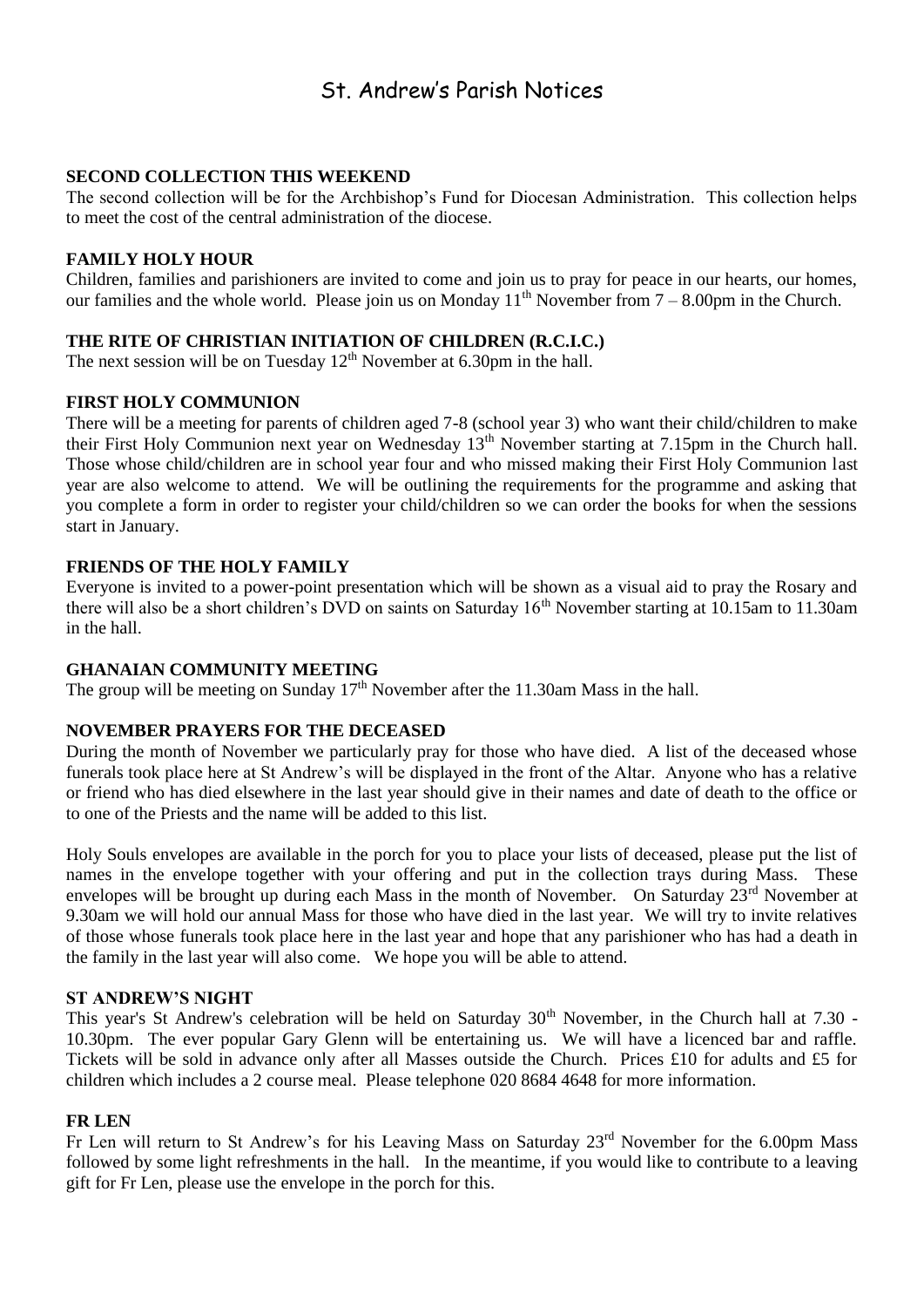## St. Andrew's Parish Notices

#### **SECOND COLLECTION THIS WEEKEND**

The second collection will be for the Archbishop's Fund for Diocesan Administration. This collection helps to meet the cost of the central administration of the diocese.

#### **FAMILY HOLY HOUR**

Children, families and parishioners are invited to come and join us to pray for peace in our hearts, our homes, our families and the whole world. Please join us on Monday  $11^{th}$  November from  $7 - 8.00$ pm in the Church.

#### **THE RITE OF CHRISTIAN INITIATION OF CHILDREN (R.C.I.C.)**

The next session will be on Tuesday  $12<sup>th</sup>$  November at 6.30pm in the hall.

#### **FIRST HOLY COMMUNION**

There will be a meeting for parents of children aged 7-8 (school year 3) who want their child/children to make their First Holy Communion next year on Wednesday 13<sup>th</sup> November starting at 7.15pm in the Church hall. Those whose child/children are in school year four and who missed making their First Holy Communion last year are also welcome to attend. We will be outlining the requirements for the programme and asking that you complete a form in order to register your child/children so we can order the books for when the sessions start in January.

#### **FRIENDS OF THE HOLY FAMILY**

Everyone is invited to a power-point presentation which will be shown as a visual aid to pray the Rosary and there will also be a short children's DVD on saints on Saturday 16<sup>th</sup> November starting at 10.15am to 11.30am in the hall.

#### **GHANAIAN COMMUNITY MEETING**

The group will be meeting on Sunday  $17<sup>th</sup>$  November after the 11.30am Mass in the hall.

#### **NOVEMBER PRAYERS FOR THE DECEASED**

During the month of November we particularly pray for those who have died. A list of the deceased whose funerals took place here at St Andrew's will be displayed in the front of the Altar. Anyone who has a relative or friend who has died elsewhere in the last year should give in their names and date of death to the office or to one of the Priests and the name will be added to this list.

Holy Souls envelopes are available in the porch for you to place your lists of deceased, please put the list of names in the envelope together with your offering and put in the collection trays during Mass. These envelopes will be brought up during each Mass in the month of November. On Saturday 23<sup>rd</sup> November at 9.30am we will hold our annual Mass for those who have died in the last year. We will try to invite relatives of those whose funerals took place here in the last year and hope that any parishioner who has had a death in the family in the last year will also come. We hope you will be able to attend.

#### **ST ANDREW'S NIGHT**

This year's St Andrew's celebration will be held on Saturday 30<sup>th</sup> November, in the Church hall at 7.30 -10.30pm. The ever popular Gary Glenn will be entertaining us. We will have a licenced bar and raffle. Tickets will be sold in advance only after all Masses outside the Church. Prices £10 for adults and £5 for children which includes a 2 course meal. Please telephone 020 8684 4648 for more information.

#### **FR LEN**

Fr Len will return to St Andrew's for his Leaving Mass on Saturday 23<sup>rd</sup> November for the 6.00pm Mass followed by some light refreshments in the hall. In the meantime, if you would like to contribute to a leaving gift for Fr Len, please use the envelope in the porch for this.